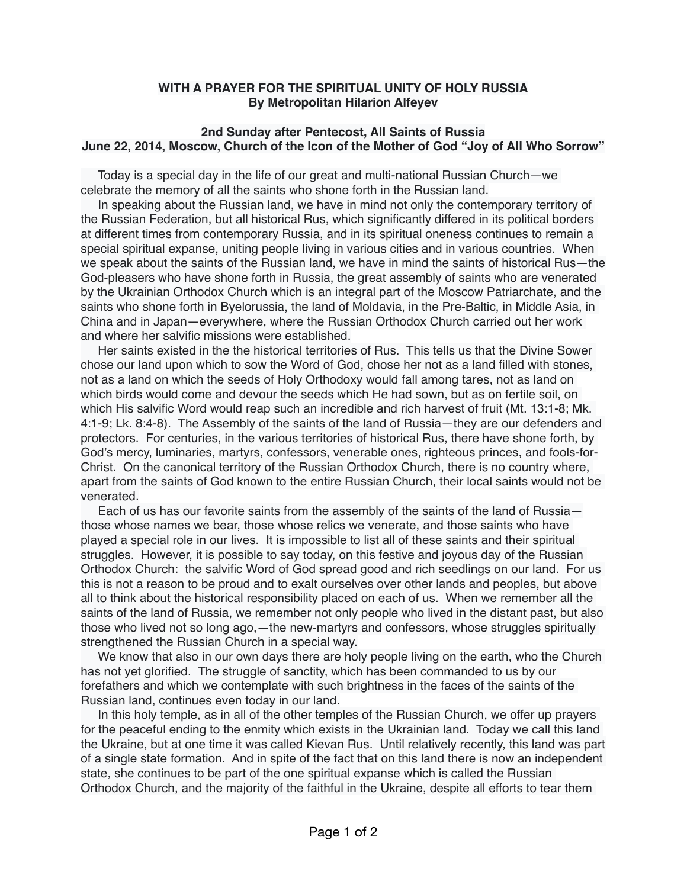## **WITH A PRAYER FOR THE SPIRITUAL UNITY OF HOLY RUSSIA By Metropolitan Hilarion Alfeyev**

## **2nd Sunday after Pentecost, All Saints of Russia June 22, 2014, Moscow, Church of the Icon of the Mother of God "Joy of All Who Sorrow"**

 Today is a special day in the life of our great and multi-national Russian Church—we celebrate the memory of all the saints who shone forth in the Russian land.

 In speaking about the Russian land, we have in mind not only the contemporary territory of the Russian Federation, but all historical Rus, which significantly differed in its political borders at different times from contemporary Russia, and in its spiritual oneness continues to remain a special spiritual expanse, uniting people living in various cities and in various countries. When we speak about the saints of the Russian land, we have in mind the saints of historical Rus—the God-pleasers who have shone forth in Russia, the great assembly of saints who are venerated by the Ukrainian Orthodox Church which is an integral part of the Moscow Patriarchate, and the saints who shone forth in Byelorussia, the land of Moldavia, in the Pre-Baltic, in Middle Asia, in China and in Japan—everywhere, where the Russian Orthodox Church carried out her work and where her salvific missions were established.

 Her saints existed in the the historical territories of Rus. This tells us that the Divine Sower chose our land upon which to sow the Word of God, chose her not as a land filled with stones, not as a land on which the seeds of Holy Orthodoxy would fall among tares, not as land on which birds would come and devour the seeds which He had sown, but as on fertile soil, on which His salvific Word would reap such an incredible and rich harvest of fruit (Mt. 13:1-8; Mk. 4:1-9; Lk. 8:4-8). The Assembly of the saints of the land of Russia—they are our defenders and protectors. For centuries, in the various territories of historical Rus, there have shone forth, by God's mercy, luminaries, martyrs, confessors, venerable ones, righteous princes, and fools-for-Christ. On the canonical territory of the Russian Orthodox Church, there is no country where, apart from the saints of God known to the entire Russian Church, their local saints would not be venerated.

 Each of us has our favorite saints from the assembly of the saints of the land of Russia those whose names we bear, those whose relics we venerate, and those saints who have played a special role in our lives. It is impossible to list all of these saints and their spiritual struggles. However, it is possible to say today, on this festive and joyous day of the Russian Orthodox Church: the salvific Word of God spread good and rich seedlings on our land. For us this is not a reason to be proud and to exalt ourselves over other lands and peoples, but above all to think about the historical responsibility placed on each of us. When we remember all the saints of the land of Russia, we remember not only people who lived in the distant past, but also those who lived not so long ago,—the new-martyrs and confessors, whose struggles spiritually strengthened the Russian Church in a special way.

 We know that also in our own days there are holy people living on the earth, who the Church has not yet glorified. The struggle of sanctity, which has been commanded to us by our forefathers and which we contemplate with such brightness in the faces of the saints of the Russian land, continues even today in our land.

 In this holy temple, as in all of the other temples of the Russian Church, we offer up prayers for the peaceful ending to the enmity which exists in the Ukrainian land. Today we call this land the Ukraine, but at one time it was called Kievan Rus. Until relatively recently, this land was part of a single state formation. And in spite of the fact that on this land there is now an independent state, she continues to be part of the one spiritual expanse which is called the Russian Orthodox Church, and the majority of the faithful in the Ukraine, despite all efforts to tear them